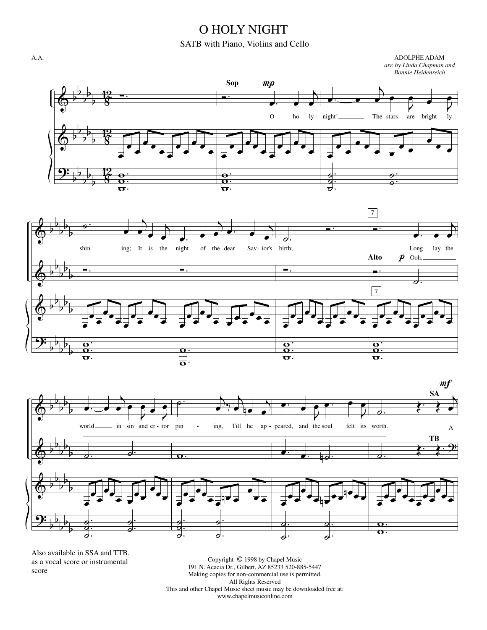## O HOLY NIGHT

## SATB with Piano, Violins and Cello

ADOLPHE ADAM

A.A.



Also available in SSA and TTB, as a vocal score or instrumental score

Copyright © 1998 by Chapel Music 191 N. Acacia Dr., Gilbert, AZ 85233 520-885-5447 Making copies for non-commercial use is permitted. All Rights Reserved This and other Chapel Music sheet music may be downloaded free at: www.chapelmusiconline.com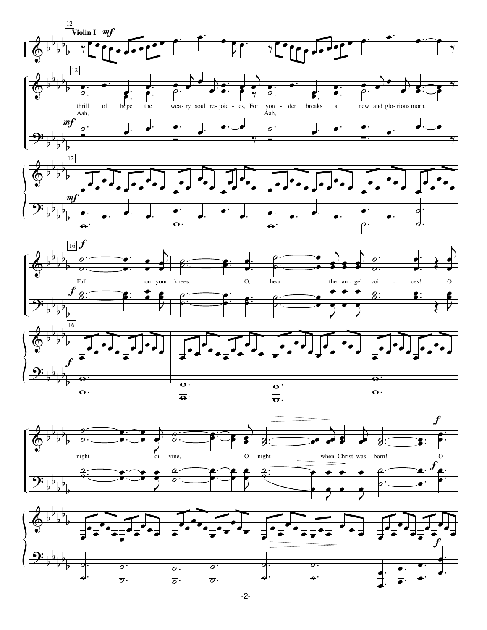



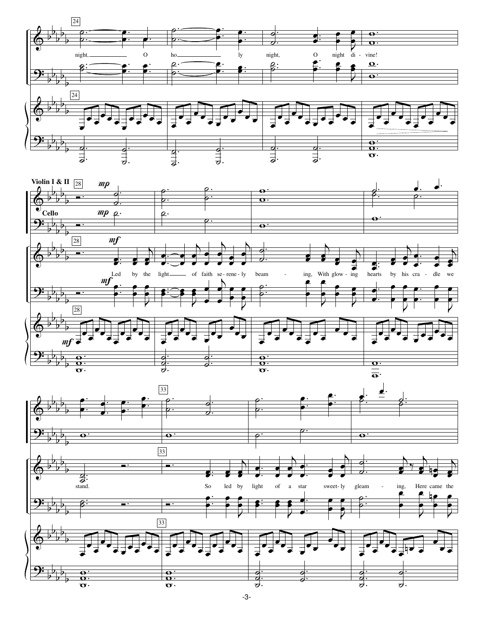



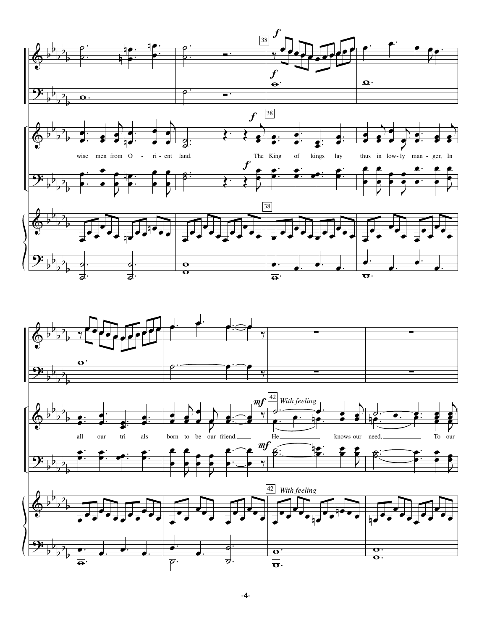

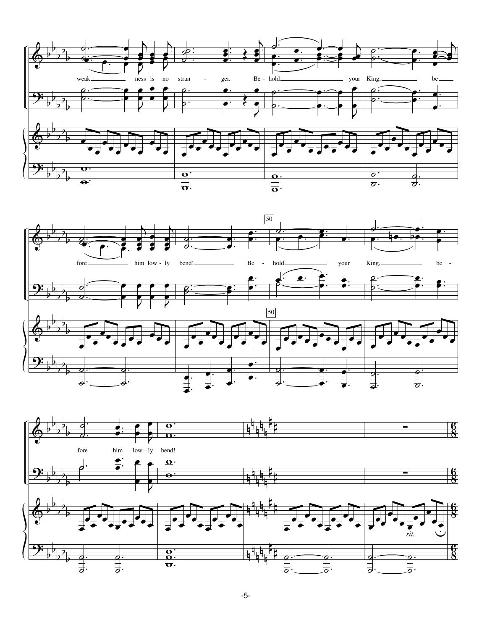



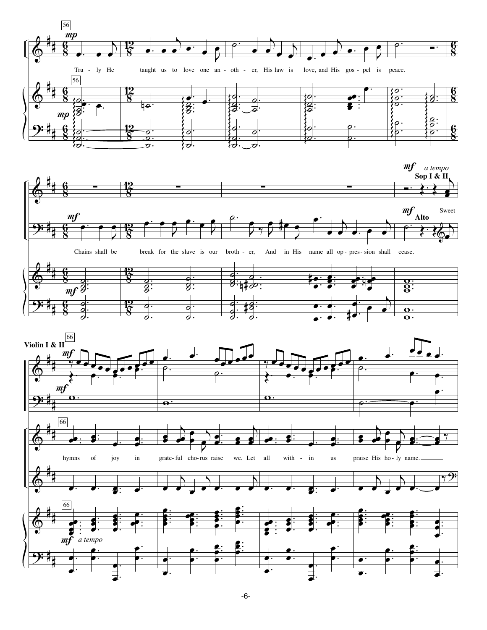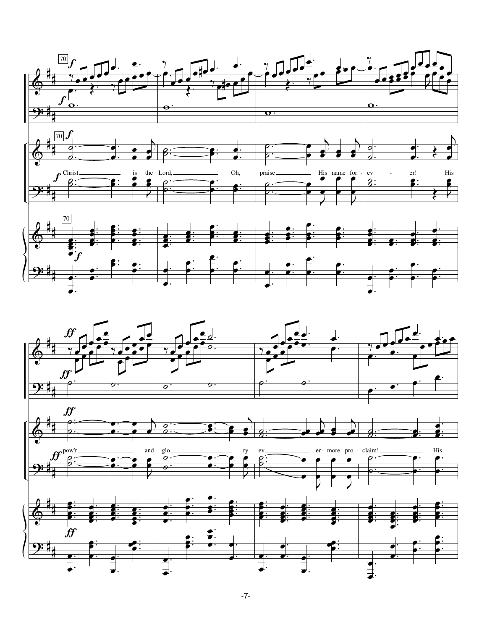